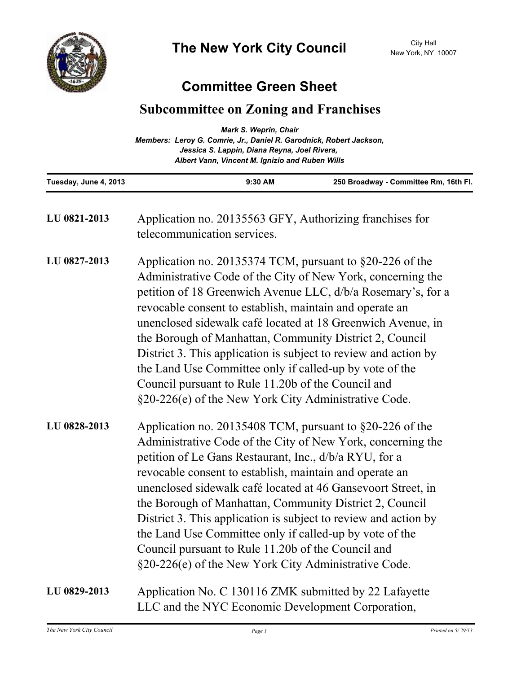## **Committee Green Sheet**

## **Subcommittee on Zoning and Franchises**

| Mark S. Weprin, Chair<br>Members: Leroy G. Comrie, Jr., Daniel R. Garodnick, Robert Jackson,<br>Jessica S. Lappin, Diana Reyna, Joel Rivera,<br>Albert Vann, Vincent M. Ignizio and Ruben Wills |                                                                                                                                                                                                                                                                                                                                                                                                                                                                                                                                                                                                                             |         |                                       |
|-------------------------------------------------------------------------------------------------------------------------------------------------------------------------------------------------|-----------------------------------------------------------------------------------------------------------------------------------------------------------------------------------------------------------------------------------------------------------------------------------------------------------------------------------------------------------------------------------------------------------------------------------------------------------------------------------------------------------------------------------------------------------------------------------------------------------------------------|---------|---------------------------------------|
| Tuesday, June 4, 2013                                                                                                                                                                           |                                                                                                                                                                                                                                                                                                                                                                                                                                                                                                                                                                                                                             | 9:30 AM | 250 Broadway - Committee Rm, 16th Fl. |
| LU 0821-2013                                                                                                                                                                                    | Application no. 20135563 GFY, Authorizing franchises for<br>telecommunication services.                                                                                                                                                                                                                                                                                                                                                                                                                                                                                                                                     |         |                                       |
| LU 0827-2013                                                                                                                                                                                    | Application no. 20135374 TCM, pursuant to $\S20-226$ of the<br>Administrative Code of the City of New York, concerning the<br>petition of 18 Greenwich Avenue LLC, d/b/a Rosemary's, for a<br>revocable consent to establish, maintain and operate an<br>unenclosed sidewalk café located at 18 Greenwich Avenue, in<br>the Borough of Manhattan, Community District 2, Council<br>District 3. This application is subject to review and action by<br>the Land Use Committee only if called-up by vote of the<br>Council pursuant to Rule 11.20b of the Council and<br>§20-226(e) of the New York City Administrative Code. |         |                                       |
| LU 0828-2013                                                                                                                                                                                    | Application no. 20135408 TCM, pursuant to $\S20-226$ of the<br>Administrative Code of the City of New York, concerning the<br>petition of Le Gans Restaurant, Inc., d/b/a RYU, for a<br>revocable consent to establish, maintain and operate an<br>unenclosed sidewalk café located at 46 Gansevoort Street, in<br>the Borough of Manhattan, Community District 2, Council<br>District 3. This application is subject to review and action by<br>the Land Use Committee only if called-up by vote of the<br>Council pursuant to Rule 11.20b of the Council and<br>§20-226(e) of the New York City Administrative Code.      |         |                                       |
| LU 0829-2013                                                                                                                                                                                    | Application No. C 130116 ZMK submitted by 22 Lafayette<br>LLC and the NYC Economic Development Corporation,                                                                                                                                                                                                                                                                                                                                                                                                                                                                                                                 |         |                                       |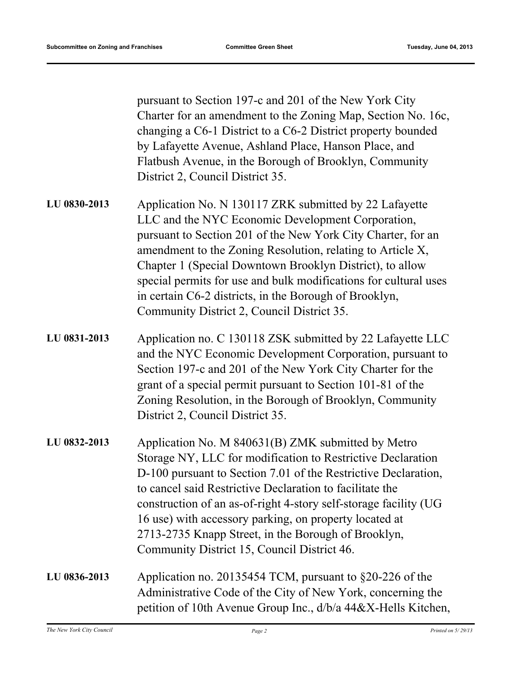pursuant to Section 197-c and 201 of the New York City Charter for an amendment to the Zoning Map, Section No. 16c, changing a C6-1 District to a C6-2 District property bounded by Lafayette Avenue, Ashland Place, Hanson Place, and Flatbush Avenue, in the Borough of Brooklyn, Community District 2, Council District 35.

- Application No. N 130117 ZRK submitted by 22 Lafayette LLC and the NYC Economic Development Corporation, pursuant to Section 201 of the New York City Charter, for an amendment to the Zoning Resolution, relating to Article X, Chapter 1 (Special Downtown Brooklyn District), to allow special permits for use and bulk modifications for cultural uses in certain C6-2 districts, in the Borough of Brooklyn, Community District 2, Council District 35. **LU 0830-2013**
- Application no. C 130118 ZSK submitted by 22 Lafayette LLC and the NYC Economic Development Corporation, pursuant to Section 197-c and 201 of the New York City Charter for the grant of a special permit pursuant to Section 101-81 of the Zoning Resolution, in the Borough of Brooklyn, Community District 2, Council District 35. **LU 0831-2013**
- Application No. M 840631(B) ZMK submitted by Metro Storage NY, LLC for modification to Restrictive Declaration D-100 pursuant to Section 7.01 of the Restrictive Declaration, to cancel said Restrictive Declaration to facilitate the construction of an as-of-right 4-story self-storage facility (UG 16 use) with accessory parking, on property located at 2713-2735 Knapp Street, in the Borough of Brooklyn, Community District 15, Council District 46. **LU 0832-2013**
- Application no. 20135454 TCM, pursuant to §20-226 of the Administrative Code of the City of New York, concerning the petition of 10th Avenue Group Inc., d/b/a 44&X-Hells Kitchen, **LU 0836-2013**